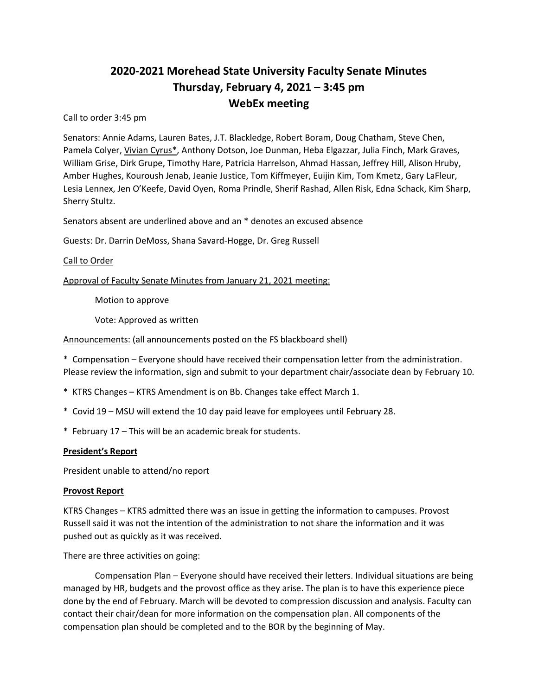# **2020-2021 Morehead State University Faculty Senate Minutes Thursday, February 4, 2021 – 3:45 pm WebEx meeting**

Call to order 3:45 pm

Senators: Annie Adams, Lauren Bates, J.T. Blackledge, Robert Boram, Doug Chatham, Steve Chen, Pamela Colyer, Vivian Cyrus\*, Anthony Dotson, Joe Dunman, Heba Elgazzar, Julia Finch, Mark Graves, William Grise, Dirk Grupe, Timothy Hare, Patricia Harrelson, Ahmad Hassan, Jeffrey Hill, Alison Hruby, Amber Hughes, Kouroush Jenab, Jeanie Justice, Tom Kiffmeyer, Euijin Kim, Tom Kmetz, Gary LaFleur, Lesia Lennex, Jen O'Keefe, David Oyen, Roma Prindle, Sherif Rashad, Allen Risk, Edna Schack, Kim Sharp, Sherry Stultz.

Senators absent are underlined above and an \* denotes an excused absence

Guests: Dr. Darrin DeMoss, Shana Savard-Hogge, Dr. Greg Russell

## Call to Order

Approval of Faculty Senate Minutes from January 21, 2021 meeting:

Motion to approve

Vote: Approved as written

Announcements: (all announcements posted on the FS blackboard shell)

\* Compensation – Everyone should have received their compensation letter from the administration. Please review the information, sign and submit to your department chair/associate dean by February 10.

- \* KTRS Changes KTRS Amendment is on Bb. Changes take effect March 1.
- \* Covid 19 MSU will extend the 10 day paid leave for employees until February 28.
- \* February 17 This will be an academic break for students.

#### **President's Report**

President unable to attend/no report

#### **Provost Report**

KTRS Changes – KTRS admitted there was an issue in getting the information to campuses. Provost Russell said it was not the intention of the administration to not share the information and it was pushed out as quickly as it was received.

There are three activities on going:

Compensation Plan – Everyone should have received their letters. Individual situations are being managed by HR, budgets and the provost office as they arise. The plan is to have this experience piece done by the end of February. March will be devoted to compression discussion and analysis. Faculty can contact their chair/dean for more information on the compensation plan. All components of the compensation plan should be completed and to the BOR by the beginning of May.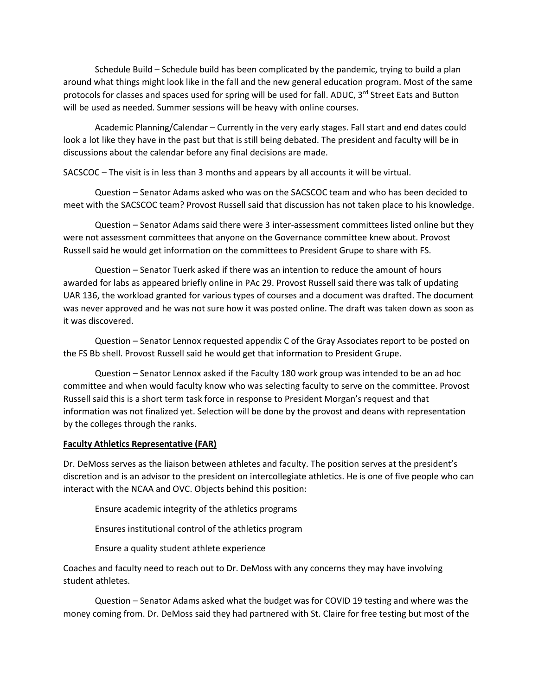Schedule Build – Schedule build has been complicated by the pandemic, trying to build a plan around what things might look like in the fall and the new general education program. Most of the same protocols for classes and spaces used for spring will be used for fall. ADUC, 3<sup>rd</sup> Street Eats and Button will be used as needed. Summer sessions will be heavy with online courses.

Academic Planning/Calendar – Currently in the very early stages. Fall start and end dates could look a lot like they have in the past but that is still being debated. The president and faculty will be in discussions about the calendar before any final decisions are made.

SACSCOC – The visit is in less than 3 months and appears by all accounts it will be virtual.

Question – Senator Adams asked who was on the SACSCOC team and who has been decided to meet with the SACSCOC team? Provost Russell said that discussion has not taken place to his knowledge.

Question – Senator Adams said there were 3 inter-assessment committees listed online but they were not assessment committees that anyone on the Governance committee knew about. Provost Russell said he would get information on the committees to President Grupe to share with FS.

Question – Senator Tuerk asked if there was an intention to reduce the amount of hours awarded for labs as appeared briefly online in PAc 29. Provost Russell said there was talk of updating UAR 136, the workload granted for various types of courses and a document was drafted. The document was never approved and he was not sure how it was posted online. The draft was taken down as soon as it was discovered.

Question – Senator Lennox requested appendix C of the Gray Associates report to be posted on the FS Bb shell. Provost Russell said he would get that information to President Grupe.

Question – Senator Lennox asked if the Faculty 180 work group was intended to be an ad hoc committee and when would faculty know who was selecting faculty to serve on the committee. Provost Russell said this is a short term task force in response to President Morgan's request and that information was not finalized yet. Selection will be done by the provost and deans with representation by the colleges through the ranks.

## **Faculty Athletics Representative (FAR)**

Dr. DeMoss serves as the liaison between athletes and faculty. The position serves at the president's discretion and is an advisor to the president on intercollegiate athletics. He is one of five people who can interact with the NCAA and OVC. Objects behind this position:

Ensure academic integrity of the athletics programs

Ensures institutional control of the athletics program

Ensure a quality student athlete experience

Coaches and faculty need to reach out to Dr. DeMoss with any concerns they may have involving student athletes.

Question – Senator Adams asked what the budget was for COVID 19 testing and where was the money coming from. Dr. DeMoss said they had partnered with St. Claire for free testing but most of the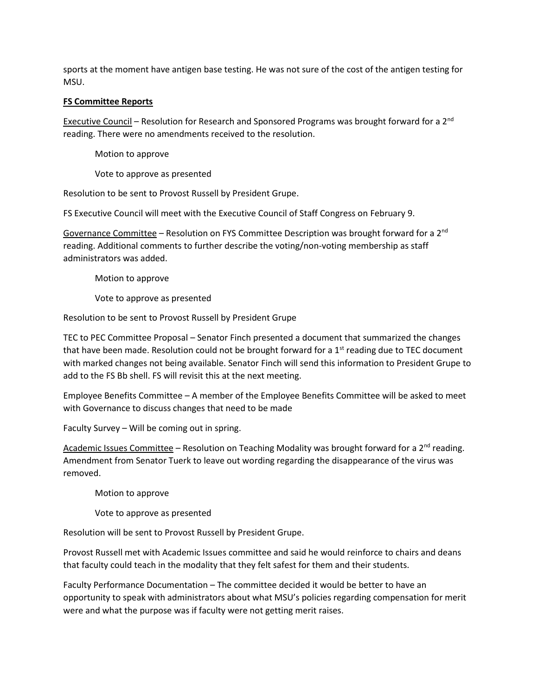sports at the moment have antigen base testing. He was not sure of the cost of the antigen testing for MSU.

# **FS Committee Reports**

Executive Council – Resolution for Research and Sponsored Programs was brought forward for a  $2^{nd}$ reading. There were no amendments received to the resolution.

Motion to approve

Vote to approve as presented

Resolution to be sent to Provost Russell by President Grupe.

FS Executive Council will meet with the Executive Council of Staff Congress on February 9.

Governance Committee – Resolution on FYS Committee Description was brought forward for a 2<sup>nd</sup> reading. Additional comments to further describe the voting/non-voting membership as staff administrators was added.

Motion to approve

Vote to approve as presented

Resolution to be sent to Provost Russell by President Grupe

TEC to PEC Committee Proposal – Senator Finch presented a document that summarized the changes that have been made. Resolution could not be brought forward for a  $1<sup>st</sup>$  reading due to TEC document with marked changes not being available. Senator Finch will send this information to President Grupe to add to the FS Bb shell. FS will revisit this at the next meeting.

Employee Benefits Committee – A member of the Employee Benefits Committee will be asked to meet with Governance to discuss changes that need to be made

Faculty Survey – Will be coming out in spring.

Academic Issues Committee – Resolution on Teaching Modality was brought forward for a  $2^{nd}$  reading. Amendment from Senator Tuerk to leave out wording regarding the disappearance of the virus was removed.

Motion to approve

Vote to approve as presented

Resolution will be sent to Provost Russell by President Grupe.

Provost Russell met with Academic Issues committee and said he would reinforce to chairs and deans that faculty could teach in the modality that they felt safest for them and their students.

Faculty Performance Documentation – The committee decided it would be better to have an opportunity to speak with administrators about what MSU's policies regarding compensation for merit were and what the purpose was if faculty were not getting merit raises.